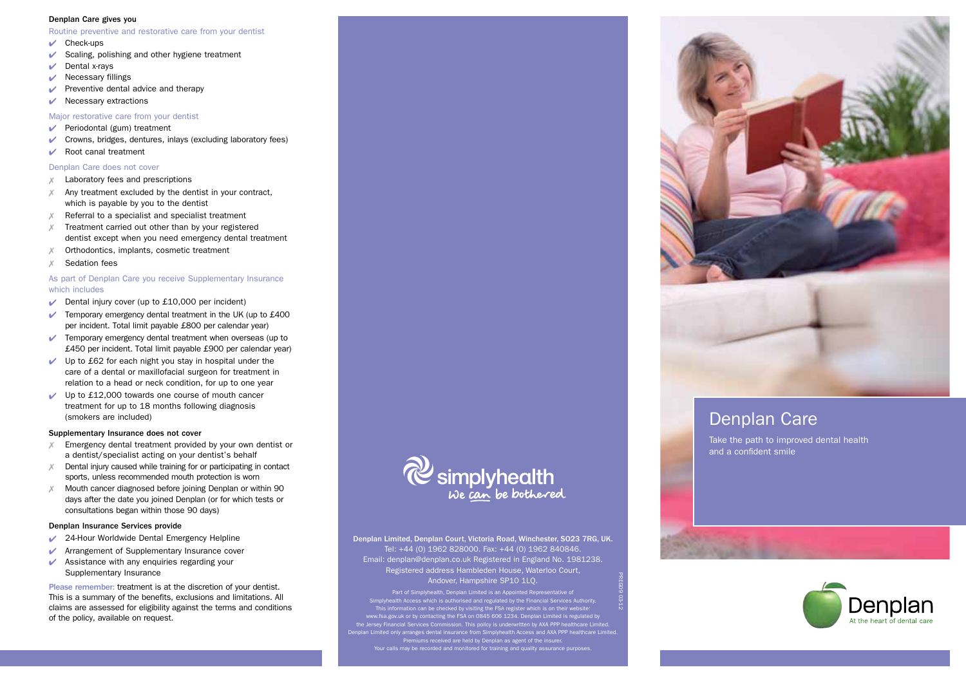#### Denplan Care gives you

Routine preventive and restorative care from your dentist

- $\vee$  Check-ups
- $\checkmark$  Scaling, polishing and other hygiene treatment
- $\triangleright$  Dental x-rays
- $\vee$  Necessary fillings
- $\blacktriangleright$  Preventive dental advice and therapy
- $\vee$  Necessary extractions

### Major restorative care from your dentist

- $\sqrt{\phantom{a}}$  Periodontal (gum) treatment
- $\triangleright$  Crowns, bridges, dentures, inlays (excluding laboratory fees)
- $\vee$  Root canal treatment

### Denplan Care does not cover

- $X$  Laboratory fees and prescriptions
- Any treatment excluded by the dentist in your contract, which is payable by you to the dentist
- Referral to a specialist and specialist treatment
- 7 Treatment carried out other than by your registered dentist except when you need emergency dental treatment
- Orthodontics, implants, cosmetic treatment
- Sedation fees

### As part of Denplan Care you receive Supplementary Insurance which includes

- $\triangleright$  Dental injury cover (up to £10,000 per incident)
- $\triangleright$  Temporary emergency dental treatment in the UK (up to £400 per incident. Total limit payable £800 per calendar year)
- $\vee$  Temporary emergency dental treatment when overseas (up to £450 per incident. Total limit payable £900 per calendar year)
- $\vee$  Up to £62 for each night you stay in hospital under the care of a dental or maxillofacial surgeon for treatment in relation to a head or neck condition, for up to one year
- $\vee$  Up to £12,000 towards one course of mouth cancer treatment for up to 18 months following diagnosis (smokers are included)

### Supplementary Insurance does not cover

- $X$  Emergency dental treatment provided by your own dentist or a dentist/specialist acting on your dentist's behalf
- $X$  Dental injury caused while training for or participating in contact sports, unless recommended mouth protection is worn
- $X$  Mouth cancer diagnosed before joining Denplan or within 90 days after the date you joined Denplan (or for which tests or consultations began within those 90 days)

### Denplan Insurance Services provide

- 24-Hour Worldwide Dental Emergency Helpline
- **Arrangement of Supplementary Insurance cover**
- $\vee$  Assistance with any enquiries regarding your Supplementary Insurance

Please remember: treatment is at the discretion of your dentist. This is a summary of the benefits, exclusions and limitations. All claims are assessed for eligibility against the terms and conditions of the policy, available on request.



Denplan Limited, Denplan Court, Victoria Road, Winchester, SO23 7RG, UK. Tel: +44 (0) 1962 828000. Fax: +44 (0) 1962 840846. Email: denplan@denplan.co.uk Registered in England No. 1981238. Registered address Hambleden House, Waterloo Court, Andover, Hampshire SP10 1LQ.

Part of Simplyhealth, Denplan Limited is an Appointed Repre<br>ealth Access which is authorised and regulated by the Financ Simplyhealth Access which is authorised and regulated by the Financial Services Authority. This information can be checked by visiting the FSA register which is on their website: www.fsa.gov.uk or by contacting the FSA on 0845 606 1234. Denplan Limited is regulated by the Jersey Financial Services Commission. This policy is underwritten by AXA PPP healthcare Limited.<br>Denplan Limited only arranges dental insurance from Simplyhealth Access and AXA PPP healthcare Limited.<br>Premiums received

PREG09 03-12



## Denplan Care

Take the path to improved dental health and a confident smile